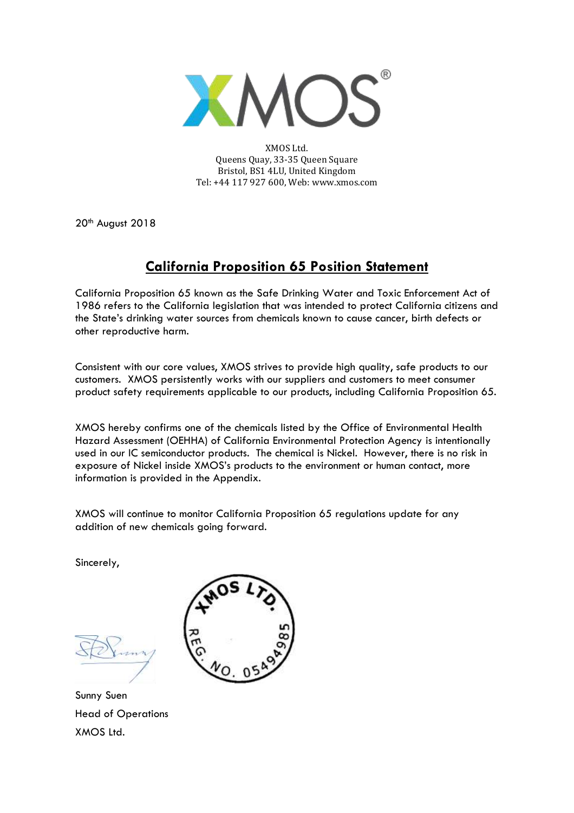

XMOS Ltd. Queens Quay, 33-35 Queen Square Bristol, BS1 4LU, United Kingdom Tel: +44 117 927 600, Web: www.xmos.com

20<sup>th</sup> August 2018

## **California Proposition 65 Position Statement**

California Proposition 65 known as the Safe Drinking Water and Toxic Enforcement Act of 1986 refers to the California legislation that was intended to protect California citizens and the State's drinking water sources from chemicals known to cause cancer, birth defects or other reproductive harm.

Consistent with our core values, XMOS strives to provide high quality, safe products to our customers. XMOS persistently works with our suppliers and customers to meet consumer product safety requirements applicable to our products, including California Proposition 65.

XMOS hereby confirms one of the chemicals listed by the Office of Environmental Health Hazard Assessment (OEHHA) of California Environmental Protection Agency is intentionally used in our IC semiconductor products. The chemical is Nickel. However, there is no risk in exposure of Nickel inside XMOS's products to the environment or human contact, more information is provided in the Appendix.

XMOS will continue to monitor California Proposition 65 regulations update for any addition of new chemicals going forward.

Sincerely,

Sunny Suen Head of Operations XMOS Ltd.